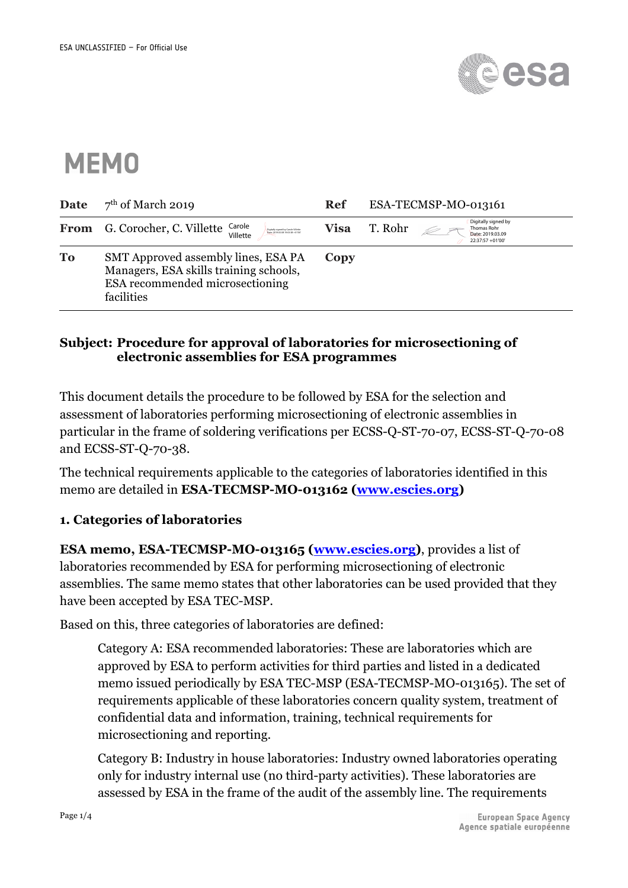

# **MEMO**

| Date | $7th$ of March 2019                                                                                                                 | Ref         | ESA-TECMSP-MO-013161                                                                  |  |
|------|-------------------------------------------------------------------------------------------------------------------------------------|-------------|---------------------------------------------------------------------------------------|--|
|      | <b>From</b> G. Corocher, C. Villette<br>Carole<br>Digitally signed by Carole Wilett<br>Date: 2019/03/08 19:03:38 +01/00<br>Villette | <b>Visa</b> | Digitally signed by<br>T. Rohr<br>Thomas Rohr<br>Date: 2019.03.09<br>22:37:57 +01'00' |  |
| To   | SMT Approved assembly lines, ESA PA<br>Managers, ESA skills training schools,<br>ESA recommended microsectioning<br>facilities      | Copy        |                                                                                       |  |

## **Subject: Procedure for approval of laboratories for microsectioning of electronic assemblies for ESA programmes**

This document details the procedure to be followed by ESA for the selection and assessment of laboratories performing microsectioning of electronic assemblies in particular in the frame of soldering verifications per ECSS-Q-ST-70-07, ECSS-ST-Q-70-08 and ECSS-ST-Q-70-38.

The technical requirements applicable to the categories of laboratories identified in this memo are detailed in **ESA-TECMSP-MO-013162 (www.escies.org)**

# **1. Categories of laboratories**

**ESA memo, ESA-TECMSP-MO-013165 (www.escies.org)**, provides a list of laboratories recommended by ESA for performing microsectioning of electronic assemblies. The same memo states that other laboratories can be used provided that they have been accepted by ESA TEC-MSP.

Based on this, three categories of laboratories are defined:

Category A: ESA recommended laboratories: These are laboratories which are approved by ESA to perform activities for third parties and listed in a dedicated memo issued periodically by ESA TEC-MSP (ESA-TECMSP-MO-013165). The set of requirements applicable of these laboratories concern quality system, treatment of confidential data and information, training, technical requirements for microsectioning and reporting.

Category B: Industry in house laboratories: Industry owned laboratories operating only for industry internal use (no third-party activities). These laboratories are assessed by ESA in the frame of the audit of the assembly line. The requirements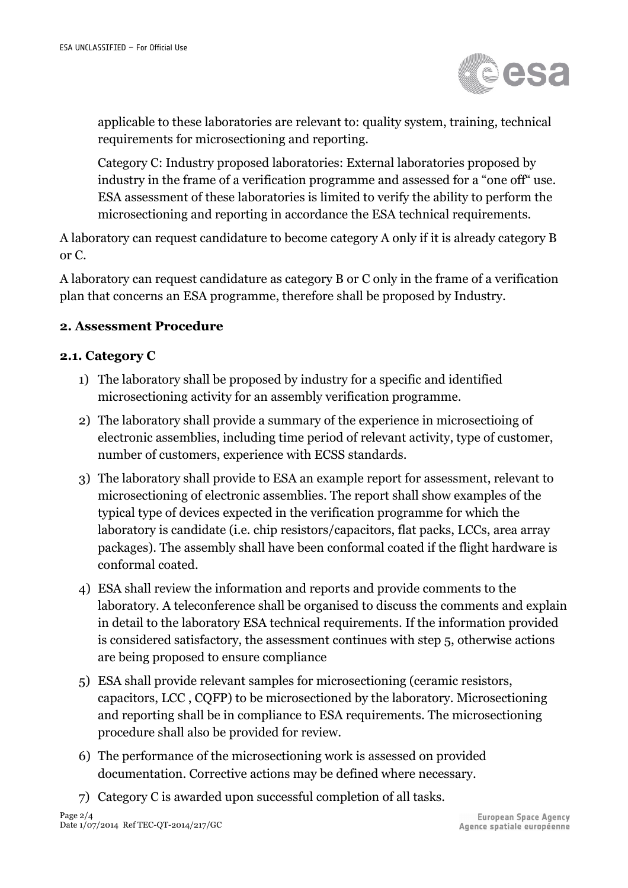

applicable to these laboratories are relevant to: quality system, training, technical requirements for microsectioning and reporting.

Category C: Industry proposed laboratories: External laboratories proposed by industry in the frame of a verification programme and assessed for a "one off" use. ESA assessment of these laboratories is limited to verify the ability to perform the microsectioning and reporting in accordance the ESA technical requirements.

A laboratory can request candidature to become category A only if it is already category B or C.

A laboratory can request candidature as category B or C only in the frame of a verification plan that concerns an ESA programme, therefore shall be proposed by Industry.

# **2. Assessment Procedure**

#### **2.1. Category C**

- 1) The laboratory shall be proposed by industry for a specific and identified microsectioning activity for an assembly verification programme.
- 2) The laboratory shall provide a summary of the experience in microsectioing of electronic assemblies, including time period of relevant activity, type of customer, number of customers, experience with ECSS standards.
- 3) The laboratory shall provide to ESA an example report for assessment, relevant to microsectioning of electronic assemblies. The report shall show examples of the typical type of devices expected in the verification programme for which the laboratory is candidate (i.e. chip resistors/capacitors, flat packs, LCCs, area array packages). The assembly shall have been conformal coated if the flight hardware is conformal coated.
- 4) ESA shall review the information and reports and provide comments to the laboratory. A teleconference shall be organised to discuss the comments and explain in detail to the laboratory ESA technical requirements. If the information provided is considered satisfactory, the assessment continues with step 5, otherwise actions are being proposed to ensure compliance
- 5) ESA shall provide relevant samples for microsectioning (ceramic resistors, capacitors, LCC , CQFP) to be microsectioned by the laboratory. Microsectioning and reporting shall be in compliance to ESA requirements. The microsectioning procedure shall also be provided for review.
- 6) The performance of the microsectioning work is assessed on provided documentation. Corrective actions may be defined where necessary.
- 7) Category C is awarded upon successful completion of all tasks.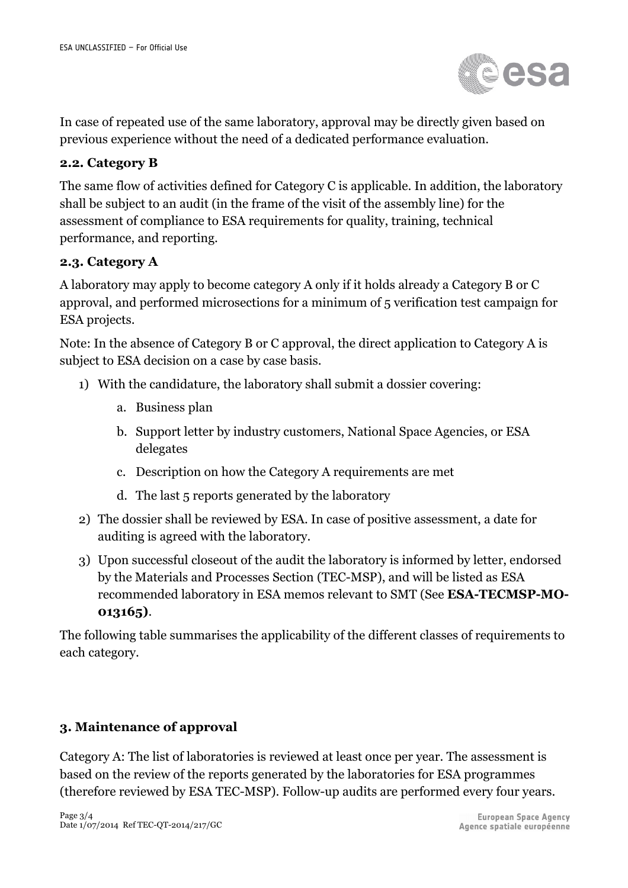

In case of repeated use of the same laboratory, approval may be directly given based on previous experience without the need of a dedicated performance evaluation.

## **2.2. Category B**

The same flow of activities defined for Category C is applicable. In addition, the laboratory shall be subject to an audit (in the frame of the visit of the assembly line) for the assessment of compliance to ESA requirements for quality, training, technical performance, and reporting.

#### **2.3. Category A**

A laboratory may apply to become category A only if it holds already a Category B or C approval, and performed microsections for a minimum of 5 verification test campaign for ESA projects.

Note: In the absence of Category B or C approval, the direct application to Category A is subject to ESA decision on a case by case basis.

- 1) With the candidature, the laboratory shall submit a dossier covering:
	- a. Business plan
	- b. Support letter by industry customers, National Space Agencies, or ESA delegates
	- c. Description on how the Category A requirements are met
	- d. The last 5 reports generated by the laboratory
- 2) The dossier shall be reviewed by ESA. In case of positive assessment, a date for auditing is agreed with the laboratory.
- 3) Upon successful closeout of the audit the laboratory is informed by letter, endorsed by the Materials and Processes Section (TEC-MSP), and will be listed as ESA recommended laboratory in ESA memos relevant to SMT (See **ESA-TECMSP-MO-013165)**.

The following table summarises the applicability of the different classes of requirements to each category.

#### **3. Maintenance of approval**

Category A: The list of laboratories is reviewed at least once per year. The assessment is based on the review of the reports generated by the laboratories for ESA programmes (therefore reviewed by ESA TEC-MSP). Follow-up audits are performed every four years.